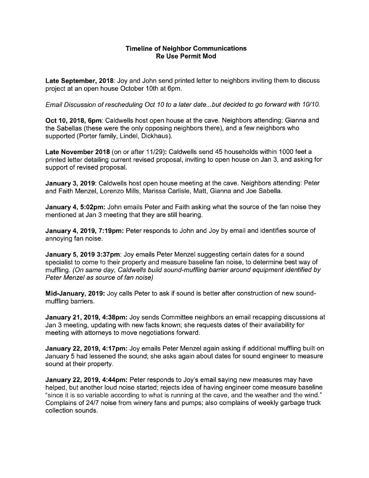## Timeline of Neighbor Communications Re Use Permit Mod

Late September, 2018: Joy and John send printed letter to neighbors inviting them to discuss project at an open house October 10th at 6pm.

Email Discussion of rescheduling Oct 10 to a later date...but decided to go forward with 10/10.

Oct 10, 2018, 6pm: Caldwells host open house at the cave. Neighbors attending: Gianna and the Sabellas (these were the only opposing neighbors there), and a few neighbors who supported (Porter family, Lindel, Dickhaus).

Late November 2018 (on or after 11/29): Caldwells send 45 households within 1000 feet a printed letter detailing current revised proposal, inviting to open house on Jan 3, and asking for support of revised proposal.

January 3, 2019: Caldwells host open house meeting at the cave. Neighbors attending: Peter and Faith Menzel, Lorenzo Mills, Marissa Carlisle, Matt, Gianna and Joe Sabella.

**January 4, 5:02pm:** John emails Peter and Faith asking what the source of the fan noise they mentioned at Jan 3 meeting that they are still hearing.

January 4, 2019, 7:19pm: Peter responds to John and Joy by email and identifies source of annoying fan noise.

January 5, 2019 3:37pm: Joy emails Peter Menzel suggesting certain dates for a sound specialist to come to their property and measure baseline fan noise, to determine best way of muffling. (On same day, Caldwells build sound-muffling barrier around equipment identified by Peter Menzel as source of fan noise)

Mid-January, 2019: Joy calls Peter to ask if sound is better after construction of new soundmuffling barriers.

January 21, 2019, 4:38pm: Joy sends Committee neighbors an email recapping discussions at Jan 3 meeting, updating with new facts known; she requests dates of their availability for meeting with attorneys to move negotiations forward.

January 22, 2019, 4:17pm: Joy emails Peter Menzel again asking if additional muffling built on January 5 had lessened the sound; she asks again about dates for sound engineer to measure sound at their property.

January 22, 2019, 4:44pm: Peter responds to Joy's email saying new measures may have helped, but another loud noise started; rejects idea of having engineer come measure baseline "since it is so variable according to what is running at the cave, and the weather and the wind." Complains of 24/7 noise from winery fans and pumps; also complains of weekly garbage truck collection sounds.